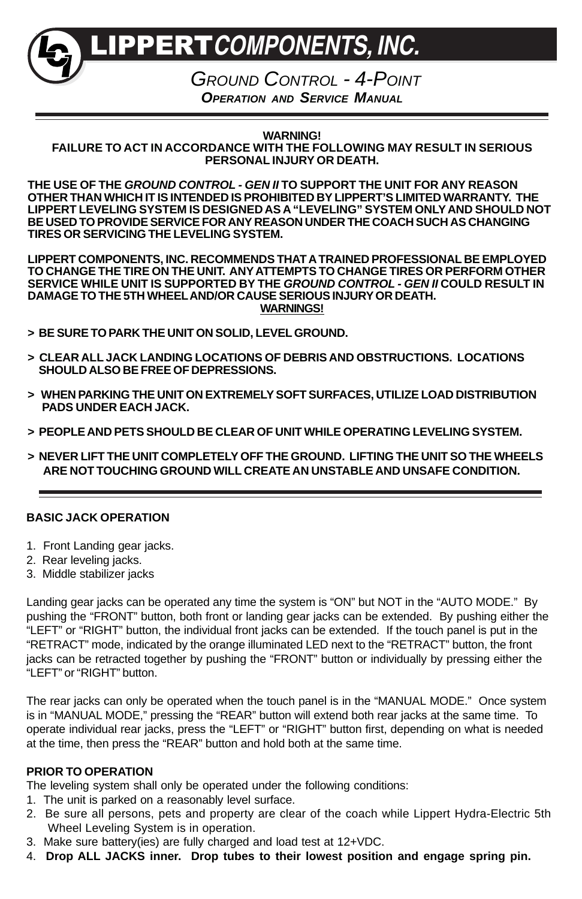LIPPERT**COMPONENTS, INC.**

GROUND CONTROL - 4-POINT **OPERATION AND SERVICE MANUAL**

**WARNING! FAILURE TO ACT IN ACCORDANCE WITH THE FOLLOWING MAY RESULT IN SERIOUS PERSONAL INJURY OR DEATH.**

**THE USE OF THE GROUND CONTROL - GEN II TO SUPPORT THE UNIT FOR ANY REASON OTHER THAN WHICH IT IS INTENDED IS PROHIBITED BY LIPPERT'S LIMITED WARRANTY. THE LIPPERT LEVELING SYSTEM IS DESIGNED AS A "LEVELING" SYSTEM ONLY AND SHOULD NOT BE USED TO PROVIDE SERVICE FOR ANY REASON UNDER THE COACH SUCH AS CHANGING TIRES OR SERVICING THE LEVELING SYSTEM.**

**LIPPERT COMPONENTS, INC. RECOMMENDS THAT A TRAINED PROFESSIONAL BE EMPLOYED TO CHANGE THE TIRE ON THE UNIT. ANY ATTEMPTS TO CHANGE TIRES OR PERFORM OTHER SERVICE WHILE UNIT IS SUPPORTED BY THE GROUND CONTROL - GEN II COULD RESULT IN DAMAGE TO THE 5TH WHEELAND/OR CAUSE SERIOUS INJURY OR DEATH. WARNINGS!**

- **> BE SURE TO PARK THE UNIT ON SOLID, LEVEL GROUND.**
- **> CLEAR ALL JACK LANDING LOCATIONS OF DEBRIS AND OBSTRUCTIONS. LOCATIONS SHOULD ALSO BE FREE OF DEPRESSIONS.**
- **> WHEN PARKING THE UNIT ON EXTREMELY SOFT SURFACES, UTILIZE LOAD DISTRIBUTION PADS UNDER EACH JACK.**
- **> PEOPLE AND PETS SHOULD BE CLEAR OF UNIT WHILE OPERATING LEVELING SYSTEM.**
- **> NEVER LIFT THE UNIT COMPLETELY OFF THE GROUND. LIFTING THE UNIT SO THE WHEELS ARE NOT TOUCHING GROUND WILL CREATE AN UNSTABLE AND UNSAFE CONDITION.**

### **BASIC JACK OPERATION**

- 1. Front Landing gear jacks.
- 2. Rear leveling jacks.
- 3. Middle stabilizer jacks

Landing gear jacks can be operated any time the system is "ON" but NOT in the "AUTO MODE." By pushing the "FRONT" button, both front or landing gear jacks can be extended. By pushing either the "LEFT" or "RIGHT" button, the individual front jacks can be extended. If the touch panel is put in the "RETRACT" mode, indicated by the orange illuminated LED next to the "RETRACT" button, the front jacks can be retracted together by pushing the "FRONT" button or individually by pressing either the "LEFT" or "RIGHT" button.

The rear jacks can only be operated when the touch panel is in the "MANUAL MODE." Once system is in "MANUAL MODE," pressing the "REAR" button will extend both rear jacks at the same time. To operate individual rear jacks, press the "LEFT" or "RIGHT" button first, depending on what is needed at the time, then press the "REAR" button and hold both at the same time.

# **PRIOR TO OPERATION**

The leveling system shall only be operated under the following conditions:

- 1. The unit is parked on a reasonably level surface.
- 2. Be sure all persons, pets and property are clear of the coach while Lippert Hydra-Electric 5th Wheel Leveling System is in operation.
- 3. Make sure battery(ies) are fully charged and load test at 12+VDC.
- 4. **Drop ALL JACKS inner. Drop tubes to their lowest position and engage spring pin.**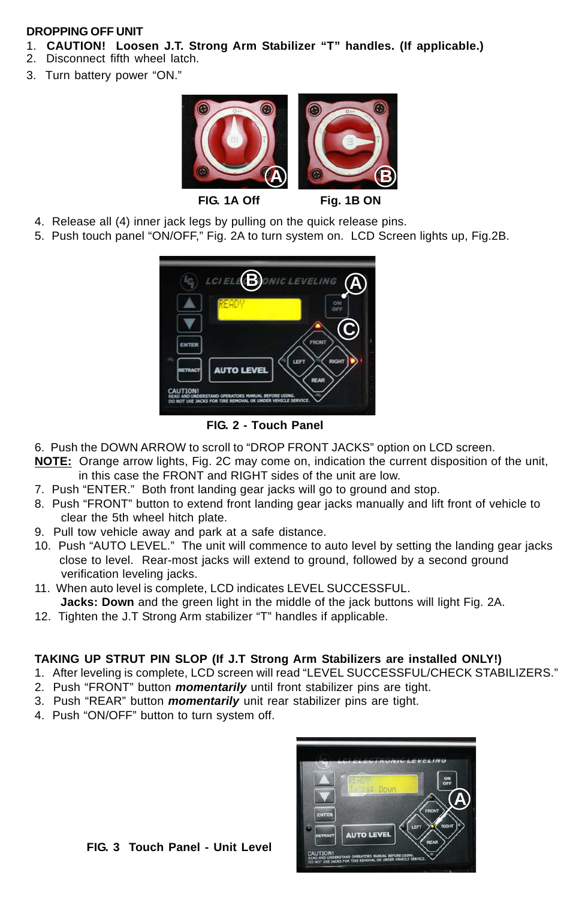### **DROPPING OFF UNIT**

- 1. **CAUTION! Loosen J.T. Strong Arm Stabilizer "T" handles. (If applicable.)**
- 2. Disconnect fifth wheel latch.
- 3. Turn battery power "ON."



- 4. Release all (4) inner jack legs by pulling on the quick release pins.
- 5. Push touch panel "ON/OFF," Fig. 2A to turn system on. LCD Screen lights up, Fig.2B.



**FIG. 2 - Touch Panel**

- 6. Push the DOWN ARROW to scroll to "DROP FRONT JACKS" option on LCD screen.
- **NOTE:** Orange arrow lights, Fig. 2C may come on, indication the current disposition of the unit, in this case the FRONT and RIGHT sides of the unit are low.
- 7. Push "ENTER." Both front landing gear jacks will go to ground and stop.
- 8. Push "FRONT" button to extend front landing gear jacks manually and lift front of vehicle to clear the 5th wheel hitch plate.
- 9. Pull tow vehicle away and park at a safe distance.
- 10. Push "AUTO LEVEL." The unit will commence to auto level by setting the landing gear jacks close to level. Rear-most jacks will extend to ground, followed by a second ground verification leveling jacks.
- 11. When auto level is complete, LCD indicates LEVEL SUCCESSFUL. **Jacks: Down** and the green light in the middle of the jack buttons will light Fig. 2A.
- 12. Tighten the J.T Strong Arm stabilizer "T" handles if applicable.

# **TAKING UP STRUT PIN SLOP (If J.T Strong Arm Stabilizers are installed ONLY!)**

- 1. After leveling is complete, LCD screen will read "LEVEL SUCCESSFUL/CHECK STABILIZERS."
- 2. Push "FRONT" button **momentarily** until front stabilizer pins are tight.
- 3. Push "REAR" button **momentarily** unit rear stabilizer pins are tight.
- 4. Push "ON/OFF" button to turn system off.



**FIG. 3 Touch Panel - Unit Level**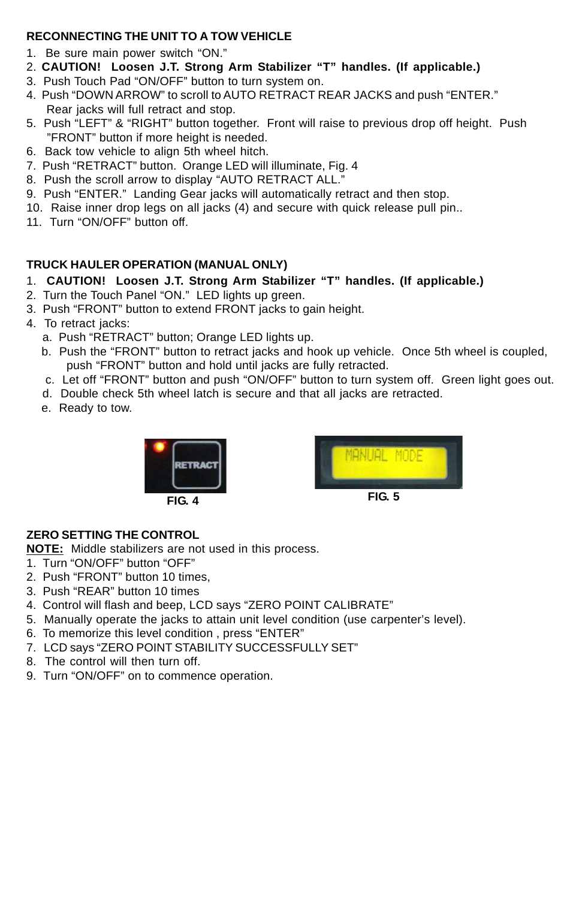## **RECONNECTING THE UNIT TO A TOW VEHICLE**

- 1. Be sure main power switch "ON."
- 2. **CAUTION! Loosen J.T. Strong Arm Stabilizer "T" handles. (If applicable.)**
- 3. Push Touch Pad "ON/OFF" button to turn system on.
- 4. Push "DOWN ARROW" to scroll to AUTO RETRACT REAR JACKS and push "ENTER." Rear jacks will full retract and stop.
- 5. Push "LEFT" & "RIGHT" button together. Front will raise to previous drop off height. Push "FRONT" button if more height is needed.
- 6. Back tow vehicle to align 5th wheel hitch.
- 7. Push "RETRACT" button. Orange LED will illuminate, Fig. 4
- 8. Push the scroll arrow to display "AUTO RETRACT ALL."
- 9. Push "ENTER." Landing Gear jacks will automatically retract and then stop.
- 10. Raise inner drop legs on all jacks (4) and secure with quick release pull pin..
- 11. Turn "ON/OFF" button off.

# **TRUCK HAULER OPERATION (MANUAL ONLY)**

- 1. **CAUTION! Loosen J.T. Strong Arm Stabilizer "T" handles. (If applicable.)**
- 2. Turn the Touch Panel "ON." LED lights up green.
- 3. Push "FRONT" button to extend FRONT jacks to gain height.
- 4. To retract jacks:
	- a. Push "RETRACT" button; Orange LED lights up.
	- b. Push the "FRONT" button to retract jacks and hook up vehicle. Once 5th wheel is coupled, push "FRONT" button and hold until jacks are fully retracted.
	- c. Let off "FRONT" button and push "ON/OFF" button to turn system off. Green light goes out.
	- d. Double check 5th wheel latch is secure and that all jacks are retracted.
	- e. Ready to tow.



# **ZERO SETTING THE CONTROL**

**NOTE:** Middle stabilizers are not used in this process.

- 1. Turn "ON/OFF" button "OFF"
- 2. Push "FRONT" button 10 times,
- 3. Push "REAR" button 10 times
- 4. Control will flash and beep, LCD says "ZERO POINT CALIBRATE"
- 5. Manually operate the jacks to attain unit level condition (use carpenter's level).
- 6. To memorize this level condition , press "ENTER"
- 7. LCD says "ZERO POINT STABILITY SUCCESSFULLY SET"
- 8. The control will then turn off.
- 9. Turn "ON/OFF" on to commence operation.